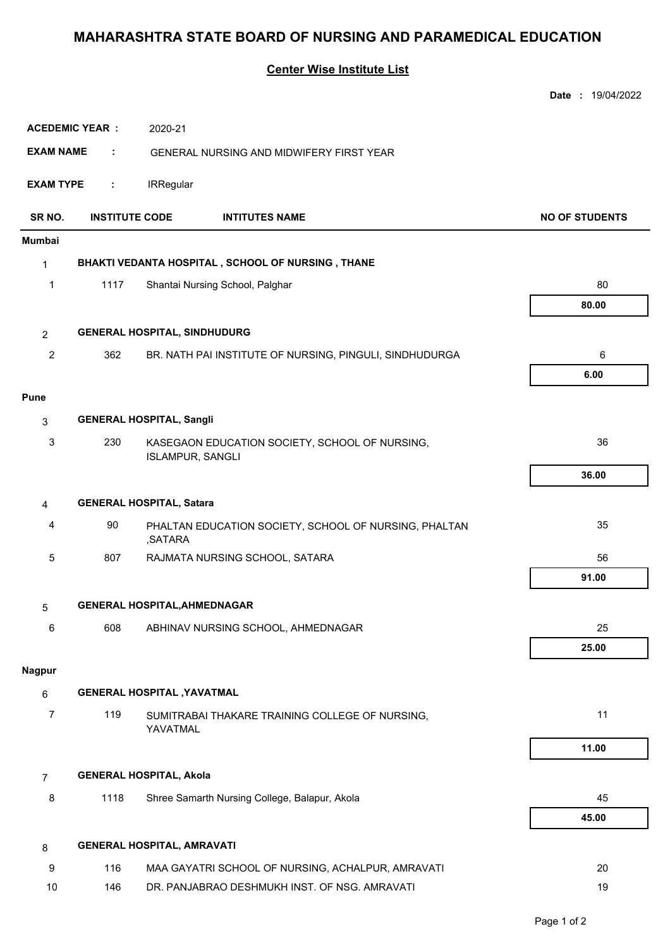## **MAHARASHTRA STATE BOARD OF NURSING AND PARAMEDICAL EDUCATION**

## **Center Wise Institute List**

|                                  |                                                   |                                                |                                                         | Date: 19/04/2022      |  |  |
|----------------------------------|---------------------------------------------------|------------------------------------------------|---------------------------------------------------------|-----------------------|--|--|
| <b>ACEDEMIC YEAR:</b><br>2020-21 |                                                   |                                                |                                                         |                       |  |  |
| <b>EXAM NAME</b>                 | ÷                                                 |                                                | GENERAL NURSING AND MIDWIFERY FIRST YEAR                |                       |  |  |
| <b>EXAM TYPE</b>                 | ÷                                                 | <b>IRRegular</b>                               |                                                         |                       |  |  |
| SR NO.                           | <b>INSTITUTE CODE</b>                             |                                                | <b>INTITUTES NAME</b>                                   | <b>NO OF STUDENTS</b> |  |  |
| <b>Mumbai</b>                    |                                                   |                                                |                                                         |                       |  |  |
| $\mathbf{1}$                     | BHAKTI VEDANTA HOSPITAL, SCHOOL OF NURSING, THANE |                                                |                                                         |                       |  |  |
| 1                                | 1117<br>Shantai Nursing School, Palghar           |                                                | 80                                                      |                       |  |  |
|                                  |                                                   |                                                |                                                         | 80.00                 |  |  |
| $\overline{2}$                   |                                                   | <b>GENERAL HOSPITAL, SINDHUDURG</b>            |                                                         |                       |  |  |
| 2                                | 362                                               |                                                | BR. NATH PAI INSTITUTE OF NURSING, PINGULI, SINDHUDURGA | 6                     |  |  |
|                                  |                                                   |                                                |                                                         | 6.00                  |  |  |
| <b>Pune</b>                      |                                                   |                                                |                                                         |                       |  |  |
| 3                                |                                                   | <b>GENERAL HOSPITAL, Sangli</b>                |                                                         |                       |  |  |
| 3                                | 230                                               | KASEGAON EDUCATION SOCIETY, SCHOOL OF NURSING, |                                                         | 36                    |  |  |
|                                  |                                                   | <b>ISLAMPUR, SANGLI</b>                        |                                                         |                       |  |  |
|                                  |                                                   |                                                |                                                         | 36.00                 |  |  |
| 4                                |                                                   | <b>GENERAL HOSPITAL, Satara</b>                |                                                         |                       |  |  |
| 4                                | 90                                                | ,SATARA                                        | PHALTAN EDUCATION SOCIETY, SCHOOL OF NURSING, PHALTAN   | 35                    |  |  |
| 5                                | 807                                               |                                                | RAJMATA NURSING SCHOOL, SATARA                          | 56                    |  |  |
|                                  |                                                   |                                                |                                                         | 91.00                 |  |  |
| 5                                |                                                   | <b>GENERAL HOSPITAL, AHMEDNAGAR</b>            |                                                         |                       |  |  |
| 6                                | 608                                               |                                                | ABHINAV NURSING SCHOOL, AHMEDNAGAR                      | 25                    |  |  |
|                                  |                                                   |                                                |                                                         | 25.00                 |  |  |
| <b>Nagpur</b>                    |                                                   |                                                |                                                         |                       |  |  |
| 6                                |                                                   | <b>GENERAL HOSPITAL , YAVATMAL</b>             |                                                         |                       |  |  |
| $\overline{7}$                   | 119                                               | YAVATMAL                                       | SUMITRABAI THAKARE TRAINING COLLEGE OF NURSING,         | 11                    |  |  |
|                                  |                                                   |                                                |                                                         | 11.00                 |  |  |
| $\overline{7}$                   |                                                   | <b>GENERAL HOSPITAL, Akola</b>                 |                                                         |                       |  |  |
| 8                                | 1118                                              |                                                | Shree Samarth Nursing College, Balapur, Akola           | 45                    |  |  |
|                                  |                                                   |                                                |                                                         | 45.00                 |  |  |
| 8                                |                                                   | <b>GENERAL HOSPITAL, AMRAVATI</b>              |                                                         |                       |  |  |
| 9                                | 116                                               |                                                | MAA GAYATRI SCHOOL OF NURSING, ACHALPUR, AMRAVATI       | 20                    |  |  |
| 10                               | 146                                               |                                                | DR. PANJABRAO DESHMUKH INST. OF NSG. AMRAVATI           | 19                    |  |  |
|                                  |                                                   |                                                |                                                         |                       |  |  |